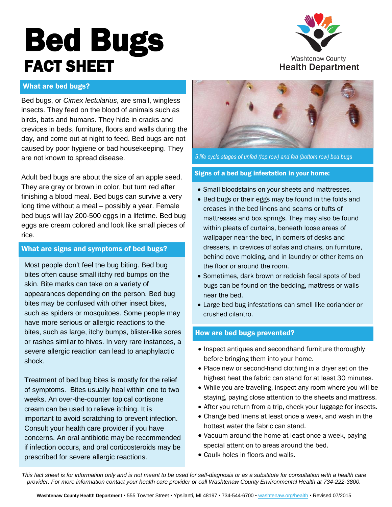# **Bed Bugs** FACT SHEET



**Washtenaw County Health Department** 

## What are bed bugs?

Bed bugs, or *Cimex lectularius*, are small, wingless insects. They feed on the blood of animals such as birds, bats and humans. They hide in cracks and crevices in beds, furniture, floors and walls during the day, and come out at night to feed. Bed bugs are not caused by poor hygiene or bad housekeeping. They are not known to spread disease.

Adult bed bugs are about the size of an apple seed. They are gray or brown in color, but turn red after finishing a blood meal. Bed bugs can survive a very long time without a meal – possibly a year. Female bed bugs will lay 200-500 eggs in a lifetime. Bed bug eggs are cream colored and look like small pieces of rice.

## What are signs and symptoms of bed bugs?

Most people don't feel the bug biting. Bed bug bites often cause small itchy red bumps on the skin. Bite marks can take on a variety of appearances depending on the person. Bed bug bites may be confused with other insect bites, such as spiders or mosquitoes. Some people may have more serious or allergic reactions to the bites, such as large, itchy bumps, blister-like sores or rashes similar to hives. In very rare instances, a severe allergic reaction can lead to anaphylactic shock.

Treatment of bed bug bites is mostly for the relief of symptoms. Bites usually heal within one to two weeks. An over-the-counter topical cortisone cream can be used to relieve itching. It is important to avoid scratching to prevent infection. Consult your health care provider if you have concerns. An oral antibiotic may be recommended if infection occurs, and oral corticosteroids may be prescribed for severe allergic reactions.



*5 life cycle stages of unfed (top row) and fed (bottom row) bed bugs*

#### Signs of a bed bug infestation in your home:

- Small bloodstains on your sheets and mattresses.
- Bed bugs or their eggs may be found in the folds and creases in the bed linens and seams or tufts of mattresses and box springs. They may also be found within pleats of curtains, beneath loose areas of wallpaper near the bed, in corners of desks and dressers, in crevices of sofas and chairs, on furniture, behind cove molding, and in laundry or other items on the floor or around the room.
- Sometimes, dark brown or reddish fecal spots of bed bugs can be found on the bedding, mattress or walls near the bed.
- Large bed bug infestations can smell like coriander or crushed cilantro.

## How are bed bugs prevented?

- Inspect antiques and secondhand furniture thoroughly before bringing them into your home.
- Place new or second-hand clothing in a dryer set on the highest heat the fabric can stand for at least 30 minutes.
- While you are traveling, inspect any room where you will be staying, paying close attention to the sheets and mattress.
- After you return from a trip, check your luggage for insects.
- Change bed linens at least once a week, and wash in the hottest water the fabric can stand.
- Vacuum around the home at least once a week, paying special attention to areas around the bed.
- Caulk holes in floors and walls.

This fact sheet is for information only and is not meant to be used for self-diagnosis or as a substitute for consultation with a health care provider. For more information contact your health care provider or call Washtenaw County Environmental Health at 734-222-3800.